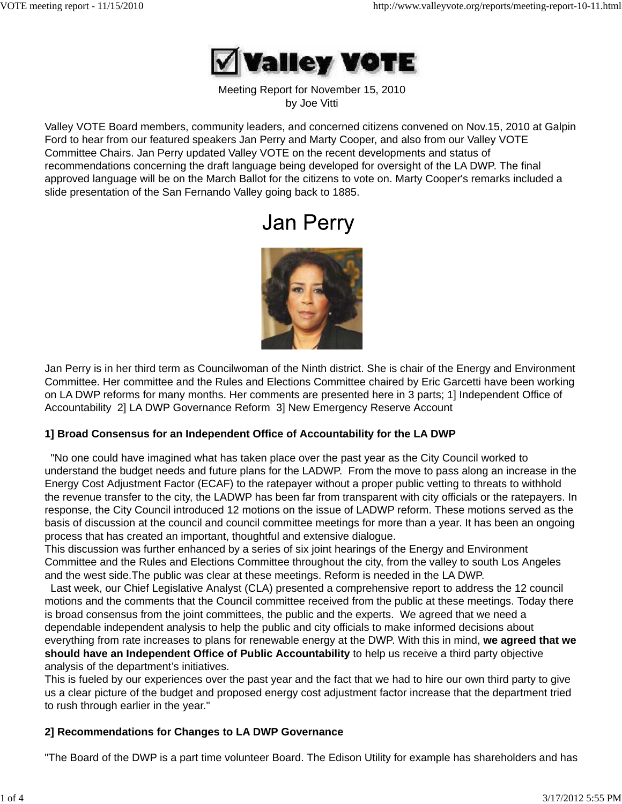

Meeting Report for November 15, 2010 by Joe Vitti

Valley VOTE Board members, community leaders, and concerned citizens convened on Nov.15, 2010 at Galpin Ford to hear from our featured speakers Jan Perry and Marty Cooper, and also from our Valley VOTE Committee Chairs. Jan Perry updated Valley VOTE on the recent developments and status of recommendations concerning the draft language being developed for oversight of the LA DWP. The final approved language will be on the March Ballot for the citizens to vote on. Marty Cooper's remarks included a slide presentation of the San Fernando Valley going back to 1885.

# **Jan Perry**



Jan Perry is in her third term as Councilwoman of the Ninth district. She is chair of the Energy and Environment Committee. Her committee and the Rules and Elections Committee chaired by Eric Garcetti have been working on LA DWP reforms for many months. Her comments are presented here in 3 parts; 1] Independent Office of Accountability 2] LA DWP Governance Reform 3] New Emergency Reserve Account

### **1] Broad Consensus for an Independent Office of Accountability for the LA DWP**

 "No one could have imagined what has taken place over the past year as the City Council worked to understand the budget needs and future plans for the LADWP. From the move to pass along an increase in the Energy Cost Adjustment Factor (ECAF) to the ratepayer without a proper public vetting to threats to withhold the revenue transfer to the city, the LADWP has been far from transparent with city officials or the ratepayers. In response, the City Council introduced 12 motions on the issue of LADWP reform. These motions served as the basis of discussion at the council and council committee meetings for more than a year. It has been an ongoing process that has created an important, thoughtful and extensive dialogue.

This discussion was further enhanced by a series of six joint hearings of the Energy and Environment Committee and the Rules and Elections Committee throughout the city, from the valley to south Los Angeles and the west side.The public was clear at these meetings. Reform is needed in the LA DWP.

 Last week, our Chief Legislative Analyst (CLA) presented a comprehensive report to address the 12 council motions and the comments that the Council committee received from the public at these meetings. Today there is broad consensus from the joint committees, the public and the experts. We agreed that we need a dependable independent analysis to help the public and city officials to make informed decisions about everything from rate increases to plans for renewable energy at the DWP. With this in mind, **we agreed that we should have an Independent Office of Public Accountability** to help us receive a third party objective analysis of the department's initiatives.

This is fueled by our experiences over the past year and the fact that we had to hire our own third party to give us a clear picture of the budget and proposed energy cost adjustment factor increase that the department tried to rush through earlier in the year."

### **2] Recommendations for Changes to LA DWP Governance**

"The Board of the DWP is a part time volunteer Board. The Edison Utility for example has shareholders and has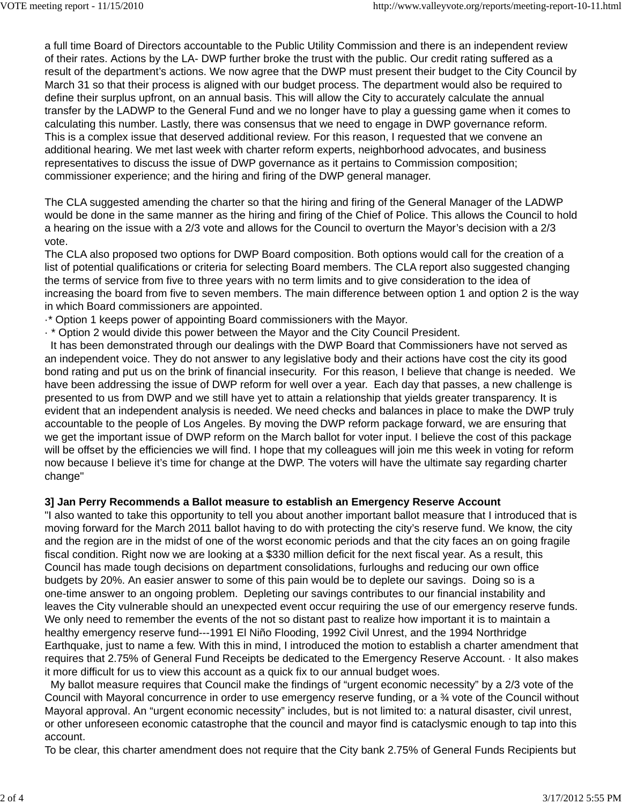a full time Board of Directors accountable to the Public Utility Commission and there is an independent review of their rates. Actions by the LA- DWP further broke the trust with the public. Our credit rating suffered as a result of the department's actions. We now agree that the DWP must present their budget to the City Council by March 31 so that their process is aligned with our budget process. The department would also be required to define their surplus upfront, on an annual basis. This will allow the City to accurately calculate the annual transfer by the LADWP to the General Fund and we no longer have to play a guessing game when it comes to calculating this number. Lastly, there was consensus that we need to engage in DWP governance reform. This is a complex issue that deserved additional review. For this reason, I requested that we convene an additional hearing. We met last week with charter reform experts, neighborhood advocates, and business representatives to discuss the issue of DWP governance as it pertains to Commission composition; commissioner experience; and the hiring and firing of the DWP general manager.

The CLA suggested amending the charter so that the hiring and firing of the General Manager of the LADWP would be done in the same manner as the hiring and firing of the Chief of Police. This allows the Council to hold a hearing on the issue with a 2/3 vote and allows for the Council to overturn the Mayor's decision with a 2/3 vote.

The CLA also proposed two options for DWP Board composition. Both options would call for the creation of a list of potential qualifications or criteria for selecting Board members. The CLA report also suggested changing the terms of service from five to three years with no term limits and to give consideration to the idea of increasing the board from five to seven members. The main difference between option 1 and option 2 is the way in which Board commissioners are appointed.

- ·\* Option 1 keeps power of appointing Board commissioners with the Mayor.
- · \* Option 2 would divide this power between the Mayor and the City Council President.

 It has been demonstrated through our dealings with the DWP Board that Commissioners have not served as an independent voice. They do not answer to any legislative body and their actions have cost the city its good bond rating and put us on the brink of financial insecurity. For this reason, I believe that change is needed. We have been addressing the issue of DWP reform for well over a year. Each day that passes, a new challenge is presented to us from DWP and we still have yet to attain a relationship that yields greater transparency. It is evident that an independent analysis is needed. We need checks and balances in place to make the DWP truly accountable to the people of Los Angeles. By moving the DWP reform package forward, we are ensuring that we get the important issue of DWP reform on the March ballot for voter input. I believe the cost of this package will be offset by the efficiencies we will find. I hope that my colleagues will join me this week in voting for reform now because I believe it's time for change at the DWP. The voters will have the ultimate say regarding charter change"

### **3] Jan Perry Recommends a Ballot measure to establish an Emergency Reserve Account**

"I also wanted to take this opportunity to tell you about another important ballot measure that I introduced that is moving forward for the March 2011 ballot having to do with protecting the city's reserve fund. We know, the city and the region are in the midst of one of the worst economic periods and that the city faces an on going fragile fiscal condition. Right now we are looking at a \$330 million deficit for the next fiscal year. As a result, this Council has made tough decisions on department consolidations, furloughs and reducing our own office budgets by 20%. An easier answer to some of this pain would be to deplete our savings. Doing so is a one-time answer to an ongoing problem. Depleting our savings contributes to our financial instability and leaves the City vulnerable should an unexpected event occur requiring the use of our emergency reserve funds. We only need to remember the events of the not so distant past to realize how important it is to maintain a healthy emergency reserve fund---1991 El Niño Flooding, 1992 Civil Unrest, and the 1994 Northridge Earthquake, just to name a few. With this in mind, I introduced the motion to establish a charter amendment that requires that 2.75% of General Fund Receipts be dedicated to the Emergency Reserve Account. · It also makes it more difficult for us to view this account as a quick fix to our annual budget woes.

 My ballot measure requires that Council make the findings of "urgent economic necessity" by a 2/3 vote of the Council with Mayoral concurrence in order to use emergency reserve funding, or a ¾ vote of the Council without Mayoral approval. An "urgent economic necessity" includes, but is not limited to: a natural disaster, civil unrest, or other unforeseen economic catastrophe that the council and mayor find is cataclysmic enough to tap into this account.

To be clear, this charter amendment does not require that the City bank 2.75% of General Funds Recipients but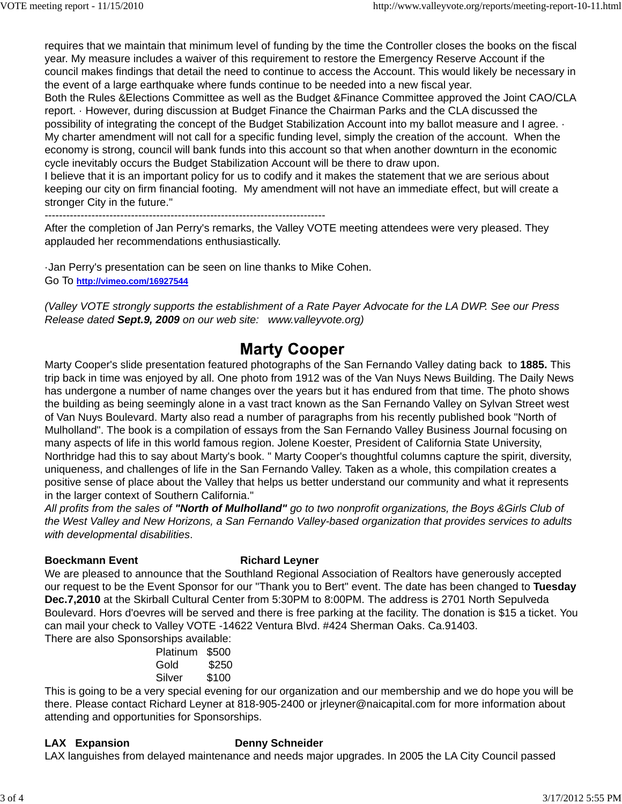requires that we maintain that minimum level of funding by the time the Controller closes the books on the fiscal year. My measure includes a waiver of this requirement to restore the Emergency Reserve Account if the council makes findings that detail the need to continue to access the Account. This would likely be necessary in the event of a large earthquake where funds continue to be needed into a new fiscal year.

Both the Rules &Elections Committee as well as the Budget &Finance Committee approved the Joint CAO/CLA report. · However, during discussion at Budget Finance the Chairman Parks and the CLA discussed the possibility of integrating the concept of the Budget Stabilization Account into my ballot measure and I agree. · My charter amendment will not call for a specific funding level, simply the creation of the account. When the economy is strong, council will bank funds into this account so that when another downturn in the economic cycle inevitably occurs the Budget Stabilization Account will be there to draw upon.

I believe that it is an important policy for us to codify and it makes the statement that we are serious about keeping our city on firm financial footing. My amendment will not have an immediate effect, but will create a stronger City in the future."

------------------------------------------------------------------------------

After the completion of Jan Perry's remarks, the Valley VOTE meeting attendees were very pleased. They applauded her recommendations enthusiastically.

·Jan Perry's presentation can be seen on line thanks to Mike Cohen. Go To **http://vimeo.com/16927544**

*(Valley VOTE strongly supports the establishment of a Rate Payer Advocate for the LA DWP. See our Press Release dated Sept.9, 2009 on our web site: www.valleyvote.org)*

## **Marty Cooper**

Marty Cooper's slide presentation featured photographs of the San Fernando Valley dating back to **1885.** This trip back in time was enjoyed by all. One photo from 1912 was of the Van Nuys News Building. The Daily News has undergone a number of name changes over the years but it has endured from that time. The photo shows the building as being seemingly alone in a vast tract known as the San Fernando Valley on Sylvan Street west of Van Nuys Boulevard. Marty also read a number of paragraphs from his recently published book "North of Mulholland". The book is a compilation of essays from the San Fernando Valley Business Journal focusing on many aspects of life in this world famous region. Jolene Koester, President of California State University, Northridge had this to say about Marty's book. " Marty Cooper's thoughtful columns capture the spirit, diversity, uniqueness, and challenges of life in the San Fernando Valley. Taken as a whole, this compilation creates a positive sense of place about the Valley that helps us better understand our community and what it represents in the larger context of Southern California."

*All profits from the sales of "North of Mulholland" go to two nonprofit organizations, the Boys &Girls Club of the West Valley and New Horizons, a San Fernando Valley-based organization that provides services to adults with developmental disabilities*.

### **Boeckmann Event Richard Leyner**

We are pleased to announce that the Southland Regional Association of Realtors have generously accepted our request to be the Event Sponsor for our "Thank you to Bert" event. The date has been changed to **Tuesday Dec.7,2010** at the Skirball Cultural Center from 5:30PM to 8:00PM. The address is 2701 North Sepulveda Boulevard. Hors d'oevres will be served and there is free parking at the facility. The donation is \$15 a ticket. You can mail your check to Valley VOTE -14622 Ventura Blvd. #424 Sherman Oaks. Ca.91403. There are also Sponsorships available:

 Platinum \$500 Gold \$250 Silver \$100

This is going to be a very special evening for our organization and our membership and we do hope you will be there. Please contact Richard Leyner at 818-905-2400 or jrleyner@naicapital.com for more information about attending and opportunities for Sponsorships.

### **LAX Expansion Denny Schneider**

LAX languishes from delayed maintenance and needs major upgrades. In 2005 the LA City Council passed